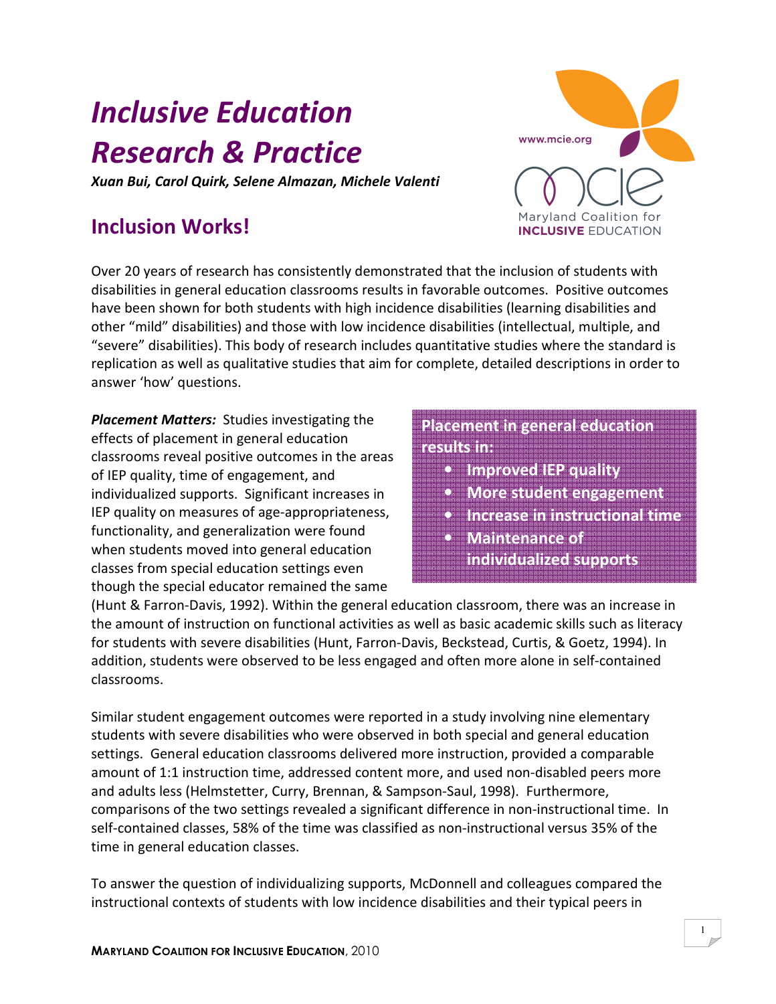# Inclusive Education Research & Practice

Xuan Bui, Carol Quirk, Selene Almazan, Michele Valenti

## Inclusion Works!

Over 20 years of research has consistently demonstrated that the inclusion of students with disabilities in general education classrooms results in favorable outcomes. Positive outcomes have been shown for both students with high incidence disabilities (learning disabilities and other "mild" disabilities) and those with low incidence disabilities (intellectual, multiple, and "severe" disabilities). This body of research includes quantitative studies where the standard is replication as well as qualitative studies that aim for complete, detailed descriptions in order to answer 'how' questions.

Placement Matters: Studies investigating the effects of placement in general education classrooms reveal positive outcomes in the areas of IEP quality, time of engagement, and individualized supports. Significant increases in IEP quality on measures of age-appropriateness, functionality, and generalization were found when students moved into general education classes from special education settings even though the special educator remained the same

### Placement in general education results in:

- Improved IEP quality
- More student engagement
- Increase in instructional time
- Maintenance of
- individualized supports

(Hunt & Farron-Davis, 1992). Within the general education classroom, there was an increase in the amount of instruction on functional activities as well as basic academic skills such as literacy for students with severe disabilities (Hunt, Farron-Davis, Beckstead, Curtis, & Goetz, 1994). In addition, students were observed to be less engaged and often more alone in self-contained classrooms.

Similar student engagement outcomes were reported in a study involving nine elementary students with severe disabilities who were observed in both special and general education settings. General education classrooms delivered more instruction, provided a comparable amount of 1:1 instruction time, addressed content more, and used non-disabled peers more and adults less (Helmstetter, Curry, Brennan, & Sampson-Saul, 1998). Furthermore, comparisons of the two settings revealed a significant difference in non-instructional time. In self-contained classes, 58% of the time was classified as non-instructional versus 35% of the time in general education classes.

To answer the question of individualizing supports, McDonnell and colleagues compared the instructional contexts of students with low incidence disabilities and their typical peers in

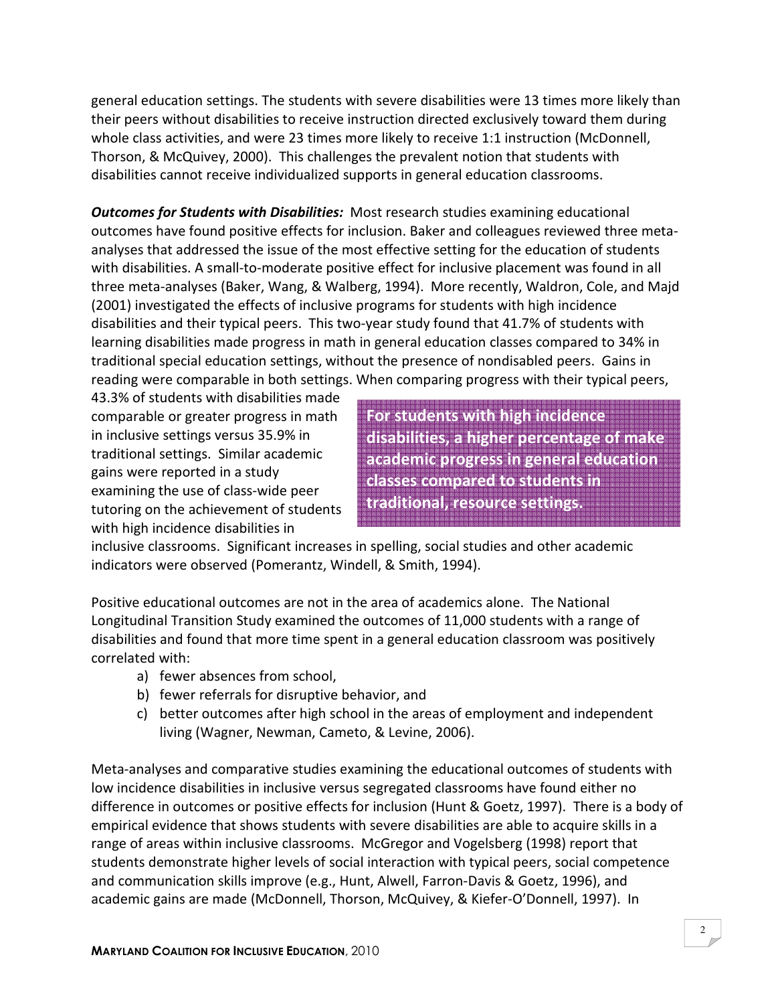general education settings. The students with severe disabilities were 13 times more likely than their peers without disabilities to receive instruction directed exclusively toward them during whole class activities, and were 23 times more likely to receive 1:1 instruction (McDonnell, Thorson, & McQuivey, 2000). This challenges the prevalent notion that students with disabilities cannot receive individualized supports in general education classrooms.

**Outcomes for Students with Disabilities:** Most research studies examining educational outcomes have found positive effects for inclusion. Baker and colleagues reviewed three metaanalyses that addressed the issue of the most effective setting for the education of students with disabilities. A small-to-moderate positive effect for inclusive placement was found in all three meta-analyses (Baker, Wang, & Walberg, 1994). More recently, Waldron, Cole, and Majd (2001) investigated the effects of inclusive programs for students with high incidence disabilities and their typical peers. This two-year study found that 41.7% of students with learning disabilities made progress in math in general education classes compared to 34% in traditional special education settings, without the presence of nondisabled peers. Gains in reading were comparable in both settings. When comparing progress with their typical peers,

43.3% of students with disabilities made comparable or greater progress in math in inclusive settings versus 35.9% in traditional settings. Similar academic gains were reported in a study examining the use of class-wide peer tutoring on the achievement of students with high incidence disabilities in

For students with high incidence disabilities, a higher percentage of make academic progress in general education classes compared to students in traditional, resource settings.

inclusive classrooms. Significant increases in spelling, social studies and other academic indicators were observed (Pomerantz, Windell, & Smith, 1994).

Positive educational outcomes are not in the area of academics alone. The National Longitudinal Transition Study examined the outcomes of 11,000 students with a range of disabilities and found that more time spent in a general education classroom was positively correlated with:

- a) fewer absences from school,
- b) fewer referrals for disruptive behavior, and
- c) better outcomes after high school in the areas of employment and independent living (Wagner, Newman, Cameto, & Levine, 2006).

Meta-analyses and comparative studies examining the educational outcomes of students with low incidence disabilities in inclusive versus segregated classrooms have found either no difference in outcomes or positive effects for inclusion (Hunt & Goetz, 1997). There is a body of empirical evidence that shows students with severe disabilities are able to acquire skills in a range of areas within inclusive classrooms. McGregor and Vogelsberg (1998) report that students demonstrate higher levels of social interaction with typical peers, social competence and communication skills improve (e.g., Hunt, Alwell, Farron-Davis & Goetz, 1996), and academic gains are made (McDonnell, Thorson, McQuivey, & Kiefer-O'Donnell, 1997). In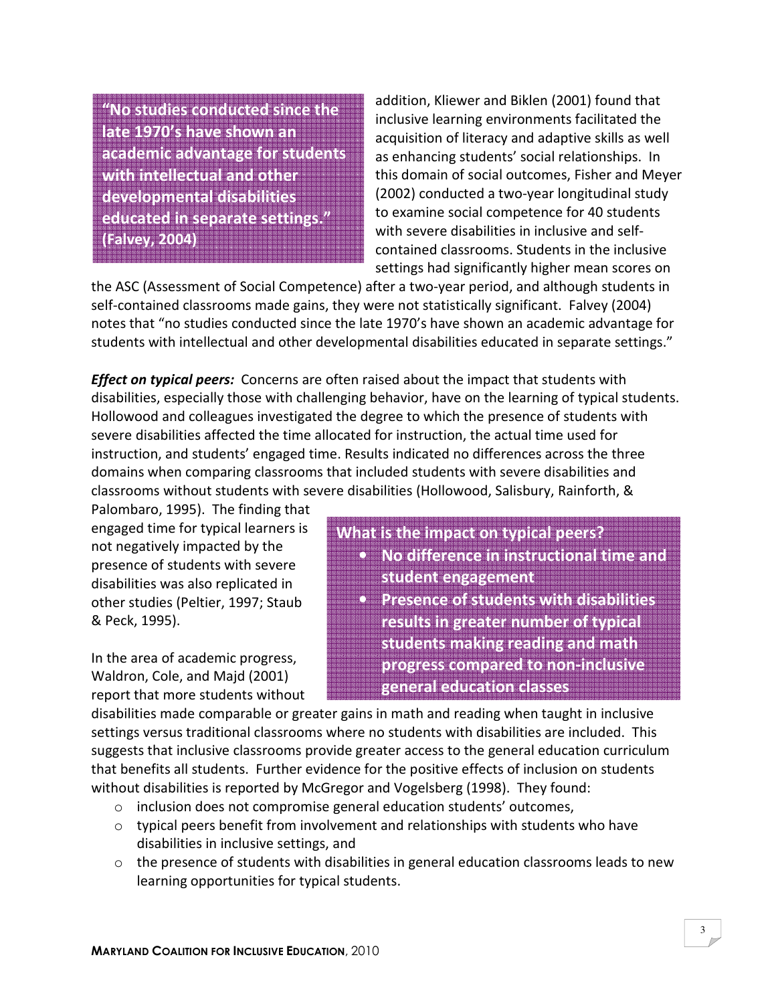"No studies conducted since the late 1970's have shown an academic advantage for students with intellectual and other developmental disabilities educated in separate settings." (Falvey, 2004)

addition, Kliewer and Biklen (2001) found that inclusive learning environments facilitated the acquisition of literacy and adaptive skills as well as enhancing students' social relationships. In this domain of social outcomes, Fisher and Meyer (2002) conducted a two-year longitudinal study to examine social competence for 40 students with severe disabilities in inclusive and selfcontained classrooms. Students in the inclusive settings had significantly higher mean scores on

the ASC (Assessment of Social Competence) after a two-year period, and although students in self-contained classrooms made gains, they were not statistically significant. Falvey (2004) notes that "no studies conducted since the late 1970's have shown an academic advantage for students with intellectual and other developmental disabilities educated in separate settings."

**Effect on typical peers:** Concerns are often raised about the impact that students with disabilities, especially those with challenging behavior, have on the learning of typical students. Hollowood and colleagues investigated the degree to which the presence of students with severe disabilities affected the time allocated for instruction, the actual time used for instruction, and students' engaged time. Results indicated no differences across the three domains when comparing classrooms that included students with severe disabilities and classrooms without students with severe disabilities (Hollowood, Salisbury, Rainforth, &

Palombaro, 1995). The finding that engaged time for typical learners is not negatively impacted by the presence of students with severe disabilities was also replicated in other studies (Peltier, 1997; Staub & Peck, 1995).

In the area of academic progress, Waldron, Cole, and Majd (2001) report that more students without

- What is the impact on typical peers? • No difference in instructional time and student engagement • Presence of students with disabilities results in greater number of typical students making reading and math
	- progress compared to non-inclusive general education classes

disabilities made comparable or greater gains in math and reading when taught in inclusive settings versus traditional classrooms where no students with disabilities are included. This suggests that inclusive classrooms provide greater access to the general education curriculum that benefits all students. Further evidence for the positive effects of inclusion on students without disabilities is reported by McGregor and Vogelsberg (1998). They found:

- o inclusion does not compromise general education students' outcomes,
- $\circ$  typical peers benefit from involvement and relationships with students who have disabilities in inclusive settings, and
- $\circ$  the presence of students with disabilities in general education classrooms leads to new learning opportunities for typical students.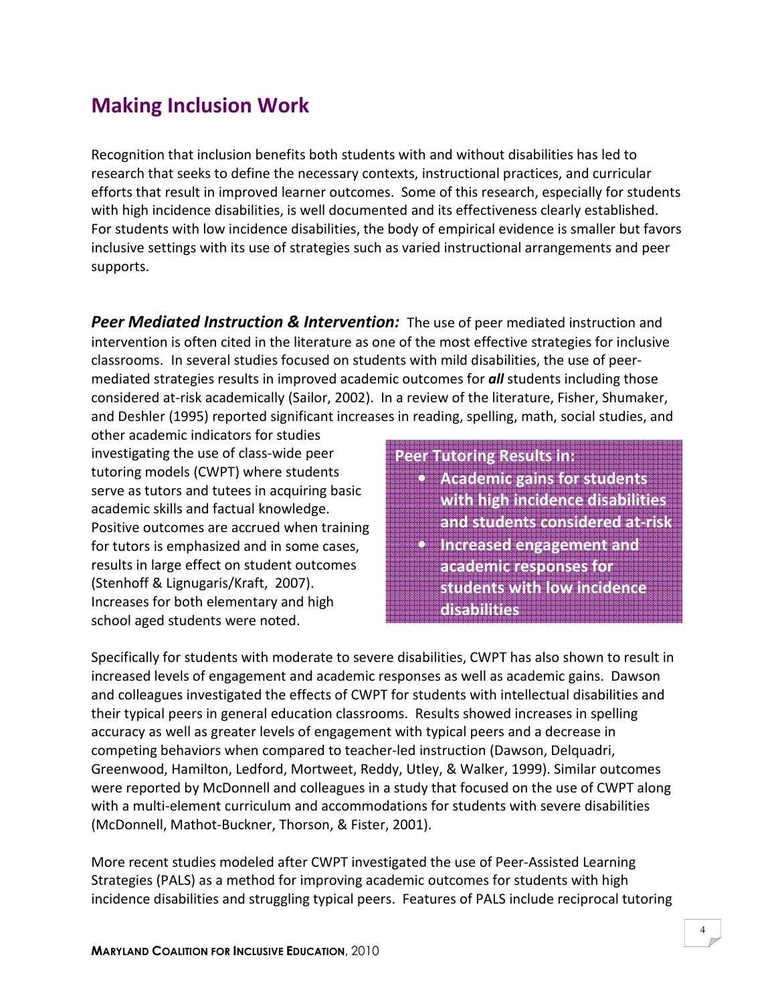## Making Inclusion Work

Recognition that inclusion benefits both students with and without disabilities has led to research that seeks to define the necessary contexts, instructional practices, and curricular efforts that result in improved learner outcomes. Some of this research, especially for students with high incidence disabilities, is well documented and its effectiveness clearly established. For students with low incidence disabilities, the body of empirical evidence is smaller but favors inclusive settings with its use of strategies such as varied instructional arrangements and peer supports.

**Peer Mediated Instruction & Intervention:** The use of peer mediated instruction and intervention is often cited in the literature as one of the most effective strategies for inclusive classrooms. In several studies focused on students with mild disabilities, the use of peermediated strategies results in improved academic outcomes for **all** students including those considered at-risk academically (Sailor, 2002). In a review of the literature, Fisher, Shumaker, and Deshler (1995) reported significant increases in reading, spelling, math, social studies, and

other academic indicators for studies investigating the use of class-wide peer tutoring models (CWPT) where students serve as tutors and tutees in acquiring basic academic skills and factual knowledge. Positive outcomes are accrued when training for tutors is emphasized and in some cases, results in large effect on student outcomes (Stenhoff & Lignugaris/Kraft, 2007). Increases for both elementary and high school aged students were noted.

#### Peer Tutoring Results in:

• Academic gains for students with high incidence disabilities and students considered at-risk • Increased engagement and academic responses for students with low incidence disabilities

Specifically for students with moderate to severe disabilities, CWPT has also shown to result in increased levels of engagement and academic responses as well as academic gains. Dawson and colleagues investigated the effects of CWPT for students with intellectual disabilities and their typical peers in general education classrooms. Results showed increases in spelling accuracy as well as greater levels of engagement with typical peers and a decrease in competing behaviors when compared to teacher-led instruction (Dawson, Delquadri, Greenwood, Hamilton, Ledford, Mortweet, Reddy, Utley, & Walker, 1999). Similar outcomes were reported by McDonnell and colleagues in a study that focused on the use of CWPT along with a multi-element curriculum and accommodations for students with severe disabilities (McDonnell, Mathot-Buckner, Thorson, & Fister, 2001).

More recent studies modeled after CWPT investigated the use of Peer-Assisted Learning Strategies (PALS) as a method for improving academic outcomes for students with high incidence disabilities and struggling typical peers. Features of PALS include reciprocal tutoring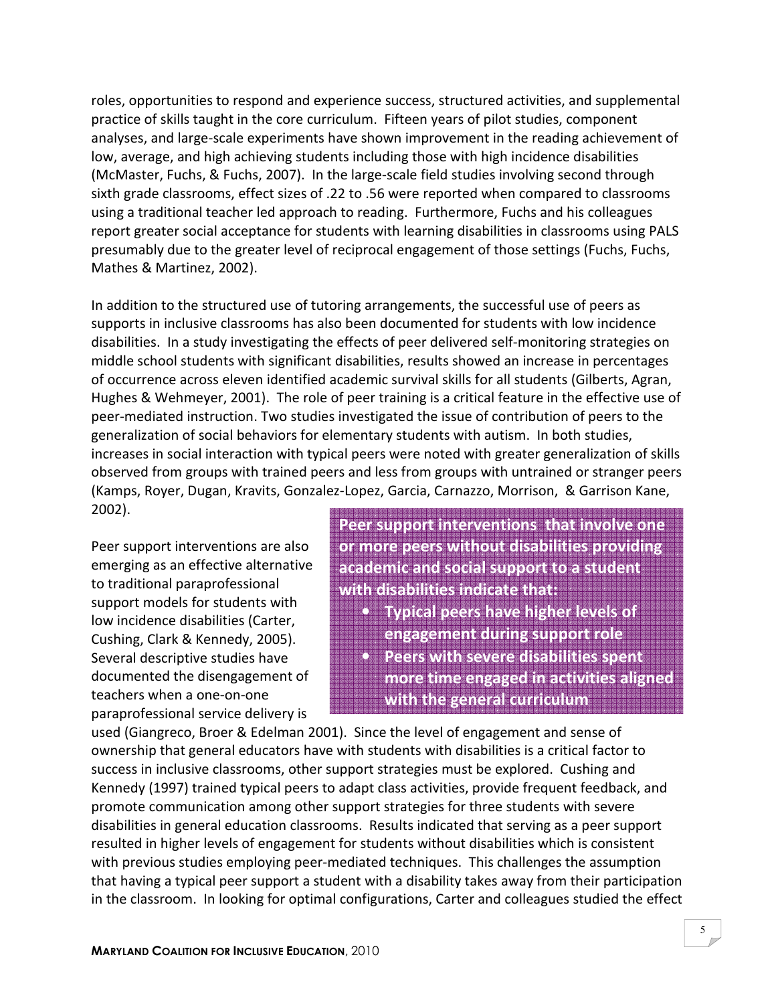roles, opportunities to respond and experience success, structured activities, and supplemental practice of skills taught in the core curriculum. Fifteen years of pilot studies, component analyses, and large-scale experiments have shown improvement in the reading achievement of low, average, and high achieving students including those with high incidence disabilities (McMaster, Fuchs, & Fuchs, 2007). In the large-scale field studies involving second through sixth grade classrooms, effect sizes of .22 to .56 were reported when compared to classrooms using a traditional teacher led approach to reading. Furthermore, Fuchs and his colleagues report greater social acceptance for students with learning disabilities in classrooms using PALS presumably due to the greater level of reciprocal engagement of those settings (Fuchs, Fuchs, Mathes & Martinez, 2002).

In addition to the structured use of tutoring arrangements, the successful use of peers as supports in inclusive classrooms has also been documented for students with low incidence disabilities. In a study investigating the effects of peer delivered self-monitoring strategies on middle school students with significant disabilities, results showed an increase in percentages of occurrence across eleven identified academic survival skills for all students (Gilberts, Agran, Hughes & Wehmeyer, 2001). The role of peer training is a critical feature in the effective use of peer-mediated instruction. Two studies investigated the issue of contribution of peers to the generalization of social behaviors for elementary students with autism. In both studies, increases in social interaction with typical peers were noted with greater generalization of skills observed from groups with trained peers and less from groups with untrained or stranger peers (Kamps, Royer, Dugan, Kravits, Gonzalez-Lopez, Garcia, Carnazzo, Morrison, & Garrison Kane, 2002).

Peer support interventions are also emerging as an effective alternative to traditional paraprofessional support models for students with low incidence disabilities (Carter, Cushing, Clark & Kennedy, 2005). Several descriptive studies have documented the disengagement of teachers when a one-on-one paraprofessional service delivery is

Peer support interventions that involve one or more peers without disabilities providing academic and social support to a student with disabilities indicate that:

- Typical peers have higher levels of engagement during support role • Peers with severe disabilities spent
- more time engaged in activities aligned with the general curriculum

used (Giangreco, Broer & Edelman 2001). Since the level of engagement and sense of ownership that general educators have with students with disabilities is a critical factor to success in inclusive classrooms, other support strategies must be explored. Cushing and Kennedy (1997) trained typical peers to adapt class activities, provide frequent feedback, and promote communication among other support strategies for three students with severe disabilities in general education classrooms. Results indicated that serving as a peer support resulted in higher levels of engagement for students without disabilities which is consistent with previous studies employing peer-mediated techniques. This challenges the assumption that having a typical peer support a student with a disability takes away from their participation in the classroom. In looking for optimal configurations, Carter and colleagues studied the effect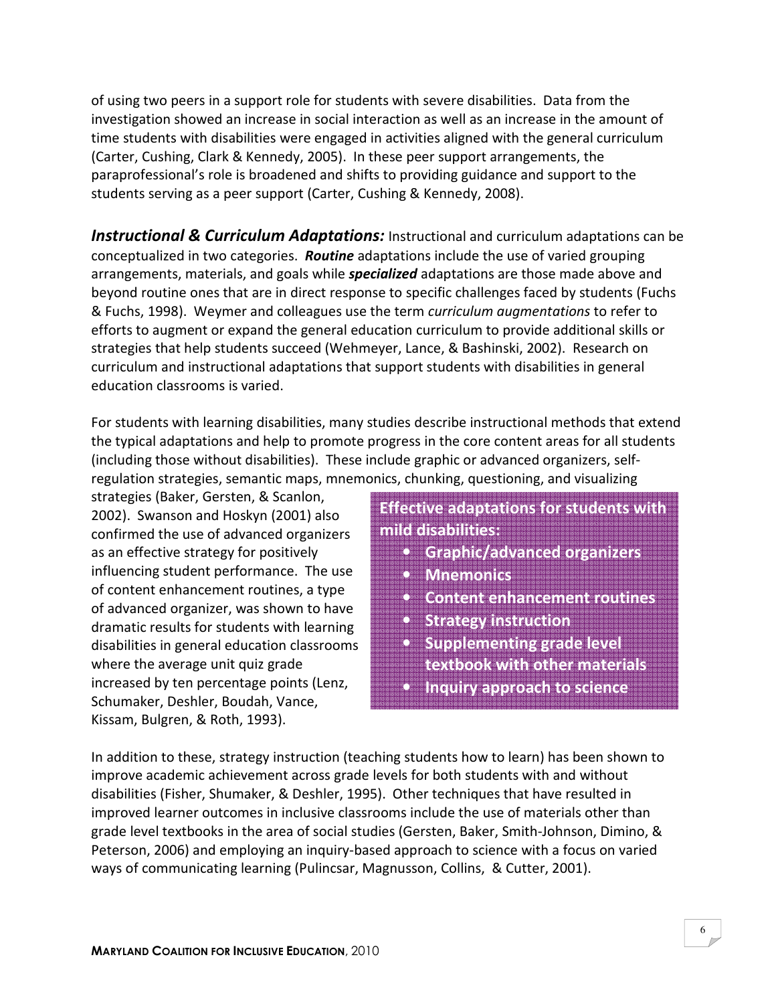of using two peers in a support role for students with severe disabilities. Data from the investigation showed an increase in social interaction as well as an increase in the amount of time students with disabilities were engaged in activities aligned with the general curriculum (Carter, Cushing, Clark & Kennedy, 2005). In these peer support arrangements, the paraprofessional's role is broadened and shifts to providing guidance and support to the students serving as a peer support (Carter, Cushing & Kennedy, 2008).

**Instructional & Curriculum Adaptations:** Instructional and curriculum adaptations can be conceptualized in two categories. **Routine** adaptations include the use of varied grouping arrangements, materials, and goals while *specialized* adaptations are those made above and beyond routine ones that are in direct response to specific challenges faced by students (Fuchs & Fuchs, 1998). Weymer and colleagues use the term curriculum augmentations to refer to efforts to augment or expand the general education curriculum to provide additional skills or strategies that help students succeed (Wehmeyer, Lance, & Bashinski, 2002). Research on curriculum and instructional adaptations that support students with disabilities in general education classrooms is varied.

For students with learning disabilities, many studies describe instructional methods that extend the typical adaptations and help to promote progress in the core content areas for all students (including those without disabilities). These include graphic or advanced organizers, selfregulation strategies, semantic maps, mnemonics, chunking, questioning, and visualizing

strategies (Baker, Gersten, & Scanlon, 2002). Swanson and Hoskyn (2001) also confirmed the use of advanced organizers as an effective strategy for positively influencing student performance. The use of content enhancement routines, a type of advanced organizer, was shown to have dramatic results for students with learning disabilities in general education classrooms where the average unit quiz grade increased by ten percentage points (Lenz, Schumaker, Deshler, Boudah, Vance, Kissam, Bulgren, & Roth, 1993).

Effective adaptations for students with mild disabilities:

- Graphic/advanced organizers
- Mnemonics
- Content enhancement routines
- **Strategy instruction**
- **Supplementing grade level** textbook with other materials
- Inquiry approach to science

In addition to these, strategy instruction (teaching students how to learn) has been shown to improve academic achievement across grade levels for both students with and without disabilities (Fisher, Shumaker, & Deshler, 1995). Other techniques that have resulted in improved learner outcomes in inclusive classrooms include the use of materials other than grade level textbooks in the area of social studies (Gersten, Baker, Smith-Johnson, Dimino, & Peterson, 2006) and employing an inquiry-based approach to science with a focus on varied ways of communicating learning (Pulincsar, Magnusson, Collins, & Cutter, 2001).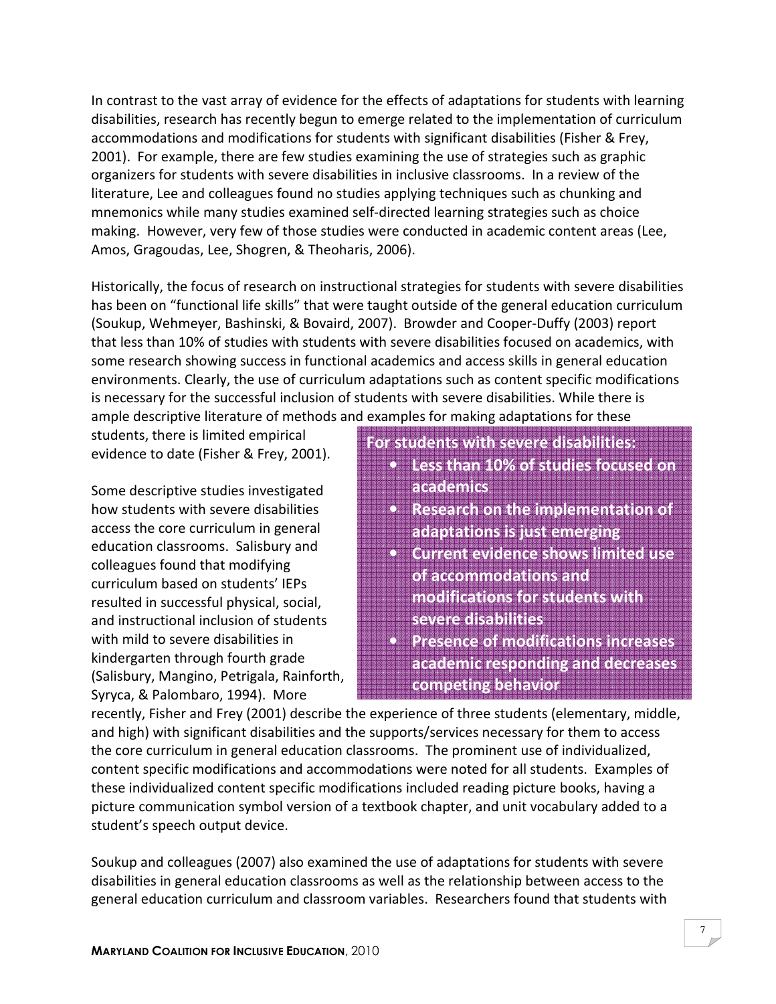In contrast to the vast array of evidence for the effects of adaptations for students with learning disabilities, research has recently begun to emerge related to the implementation of curriculum accommodations and modifications for students with significant disabilities (Fisher & Frey, 2001). For example, there are few studies examining the use of strategies such as graphic organizers for students with severe disabilities in inclusive classrooms. In a review of the literature, Lee and colleagues found no studies applying techniques such as chunking and mnemonics while many studies examined self-directed learning strategies such as choice making. However, very few of those studies were conducted in academic content areas (Lee, Amos, Gragoudas, Lee, Shogren, & Theoharis, 2006).

Historically, the focus of research on instructional strategies for students with severe disabilities has been on "functional life skills" that were taught outside of the general education curriculum (Soukup, Wehmeyer, Bashinski, & Bovaird, 2007). Browder and Cooper-Duffy (2003) report that less than 10% of studies with students with severe disabilities focused on academics, with some research showing success in functional academics and access skills in general education environments. Clearly, the use of curriculum adaptations such as content specific modifications is necessary for the successful inclusion of students with severe disabilities. While there is ample descriptive literature of methods and examples for making adaptations for these

students, there is limited empirical evidence to date (Fisher & Frey, 2001).

Some descriptive studies investigated how students with severe disabilities access the core curriculum in general education classrooms. Salisbury and colleagues found that modifying curriculum based on students' IEPs resulted in successful physical, social, and instructional inclusion of students with mild to severe disabilities in kindergarten through fourth grade (Salisbury, Mangino, Petrigala, Rainforth, Syryca, & Palombaro, 1994). More

#### For students with severe disabilities:

- Less than 10% of studies focused on academics
- Research on the implementation of adaptations is just emerging
- Current evidence shows limited use of accommodations and modifications for students with severe disabilities
- Presence of modifications increases academic responding and decreases competing behavior

recently, Fisher and Frey (2001) describe the experience of three students (elementary, middle, and high) with significant disabilities and the supports/services necessary for them to access the core curriculum in general education classrooms. The prominent use of individualized, content specific modifications and accommodations were noted for all students. Examples of these individualized content specific modifications included reading picture books, having a picture communication symbol version of a textbook chapter, and unit vocabulary added to a student's speech output device.

Soukup and colleagues (2007) also examined the use of adaptations for students with severe disabilities in general education classrooms as well as the relationship between access to the general education curriculum and classroom variables. Researchers found that students with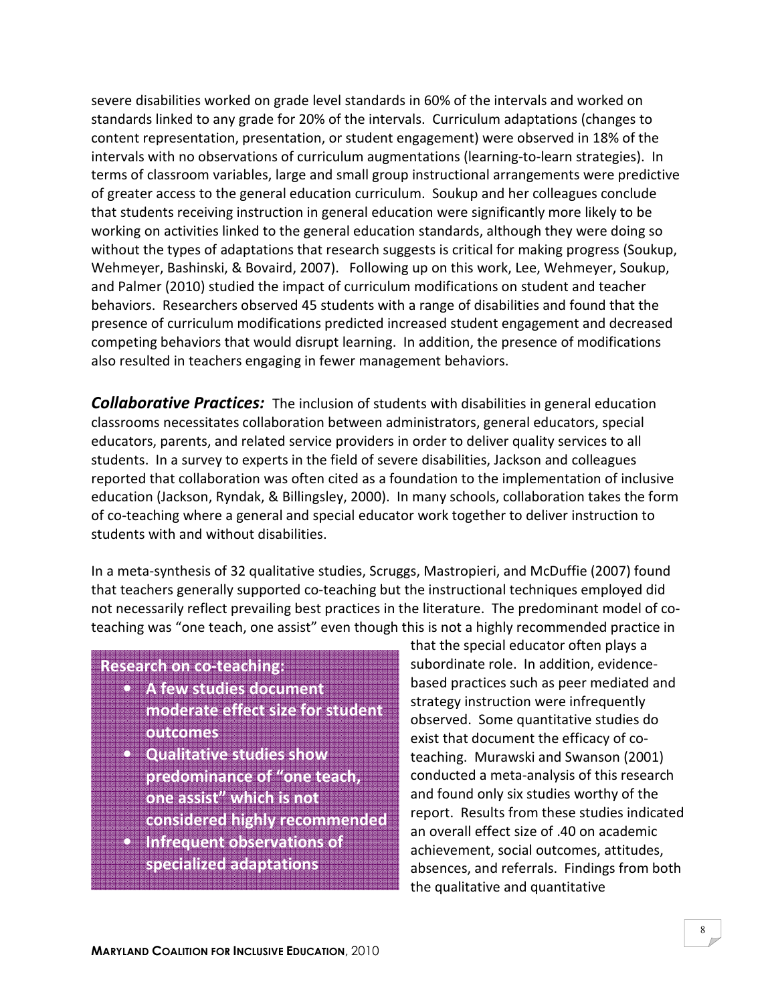severe disabilities worked on grade level standards in 60% of the intervals and worked on standards linked to any grade for 20% of the intervals. Curriculum adaptations (changes to content representation, presentation, or student engagement) were observed in 18% of the intervals with no observations of curriculum augmentations (learning-to-learn strategies). In terms of classroom variables, large and small group instructional arrangements were predictive of greater access to the general education curriculum. Soukup and her colleagues conclude that students receiving instruction in general education were significantly more likely to be working on activities linked to the general education standards, although they were doing so without the types of adaptations that research suggests is critical for making progress (Soukup, Wehmeyer, Bashinski, & Bovaird, 2007). Following up on this work, Lee, Wehmeyer, Soukup, and Palmer (2010) studied the impact of curriculum modifications on student and teacher behaviors. Researchers observed 45 students with a range of disabilities and found that the presence of curriculum modifications predicted increased student engagement and decreased competing behaviors that would disrupt learning. In addition, the presence of modifications also resulted in teachers engaging in fewer management behaviors.

**Collaborative Practices:** The inclusion of students with disabilities in general education classrooms necessitates collaboration between administrators, general educators, special educators, parents, and related service providers in order to deliver quality services to all students. In a survey to experts in the field of severe disabilities, Jackson and colleagues reported that collaboration was often cited as a foundation to the implementation of inclusive education (Jackson, Ryndak, & Billingsley, 2000). In many schools, collaboration takes the form of co-teaching where a general and special educator work together to deliver instruction to students with and without disabilities.

In a meta-synthesis of 32 qualitative studies, Scruggs, Mastropieri, and McDuffie (2007) found that teachers generally supported co-teaching but the instructional techniques employed did not necessarily reflect prevailing best practices in the literature. The predominant model of coteaching was "one teach, one assist" even though this is not a highly recommended practice in

#### Research on co-teaching:

- A few studies document moderate effect size for student outcomes
- Qualitative studies show predominance of "one teach, one assist" which is not
- considered highly recommended
- Infrequent observations of specialized adaptations

that the special educator often plays a subordinate role. In addition, evidencebased practices such as peer mediated and strategy instruction were infrequently observed. Some quantitative studies do exist that document the efficacy of coteaching. Murawski and Swanson (2001) conducted a meta-analysis of this research and found only six studies worthy of the report. Results from these studies indicated an overall effect size of .40 on academic achievement, social outcomes, attitudes, absences, and referrals. Findings from both the qualitative and quantitative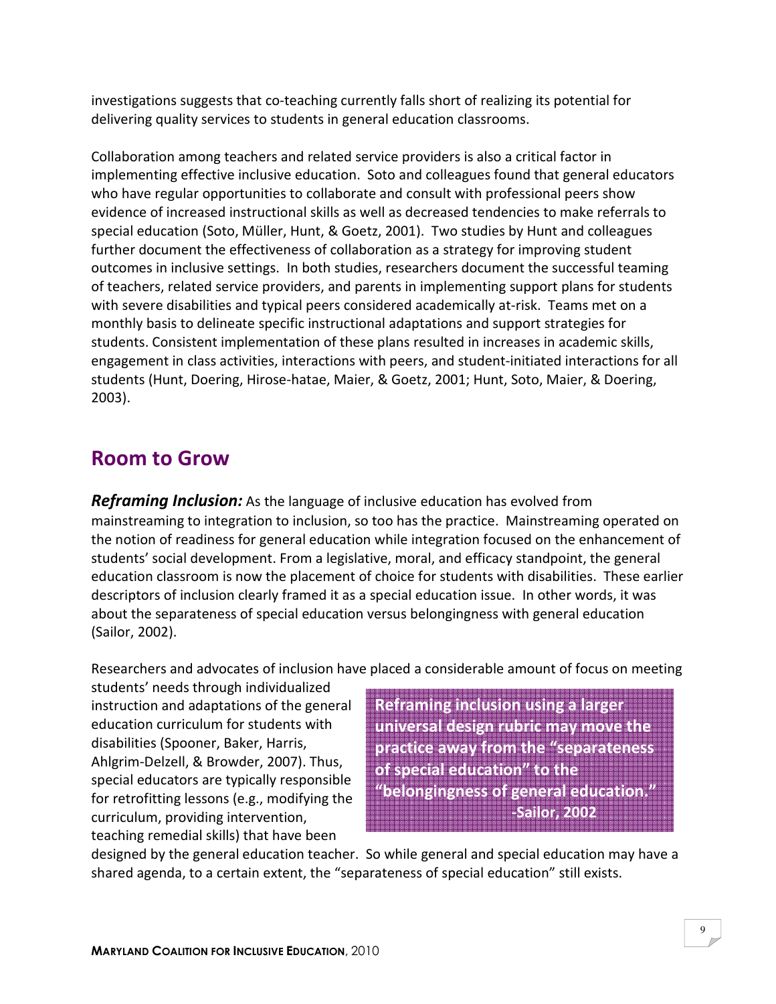investigations suggests that co-teaching currently falls short of realizing its potential for delivering quality services to students in general education classrooms.

Collaboration among teachers and related service providers is also a critical factor in implementing effective inclusive education. Soto and colleagues found that general educators who have regular opportunities to collaborate and consult with professional peers show evidence of increased instructional skills as well as decreased tendencies to make referrals to special education (Soto, Müller, Hunt, & Goetz, 2001). Two studies by Hunt and colleagues further document the effectiveness of collaboration as a strategy for improving student outcomes in inclusive settings. In both studies, researchers document the successful teaming of teachers, related service providers, and parents in implementing support plans for students with severe disabilities and typical peers considered academically at-risk. Teams met on a monthly basis to delineate specific instructional adaptations and support strategies for students. Consistent implementation of these plans resulted in increases in academic skills, engagement in class activities, interactions with peers, and student-initiated interactions for all students (Hunt, Doering, Hirose-hatae, Maier, & Goetz, 2001; Hunt, Soto, Maier, & Doering, 2003).

### Room to Grow

**Reframing Inclusion:** As the language of inclusive education has evolved from mainstreaming to integration to inclusion, so too has the practice. Mainstreaming operated on the notion of readiness for general education while integration focused on the enhancement of students' social development. From a legislative, moral, and efficacy standpoint, the general education classroom is now the placement of choice for students with disabilities. These earlier descriptors of inclusion clearly framed it as a special education issue. In other words, it was about the separateness of special education versus belongingness with general education (Sailor, 2002).

Researchers and advocates of inclusion have placed a considerable amount of focus on meeting

students' needs through individualized instruction and adaptations of the general education curriculum for students with disabilities (Spooner, Baker, Harris, Ahlgrim-Delzell, & Browder, 2007). Thus, special educators are typically responsible for retrofitting lessons (e.g., modifying the curriculum, providing intervention, teaching remedial skills) that have been

Reframing inclusion using a larger universal design rubric may move the practice away from the "separateness of special education" to the "belongingness of general education." -Sailor, 2002

designed by the general education teacher. So while general and special education may have a shared agenda, to a certain extent, the "separateness of special education" still exists.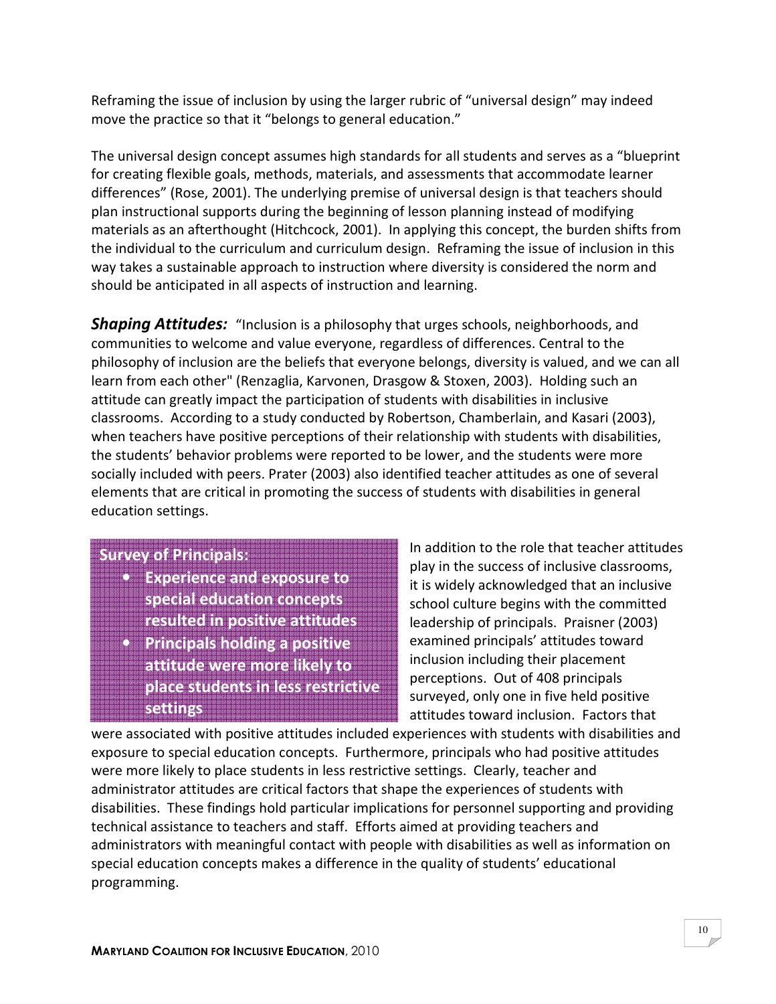Reframing the issue of inclusion by using the larger rubric of "universal design" may indeed move the practice so that it "belongs to general education."

The universal design concept assumes high standards for all students and serves as a "blueprint for creating flexible goals, methods, materials, and assessments that accommodate learner differences" (Rose, 2001). The underlying premise of universal design is that teachers should plan instructional supports during the beginning of lesson planning instead of modifying materials as an afterthought (Hitchcock, 2001). In applying this concept, the burden shifts from the individual to the curriculum and curriculum design. Reframing the issue of inclusion in this way takes a sustainable approach to instruction where diversity is considered the norm and should be anticipated in all aspects of instruction and learning.

**Shaping Attitudes:** "Inclusion is a philosophy that urges schools, neighborhoods, and communities to welcome and value everyone, regardless of differences. Central to the philosophy of inclusion are the beliefs that everyone belongs, diversity is valued, and we can all learn from each other" (Renzaglia, Karvonen, Drasgow & Stoxen, 2003). Holding such an attitude can greatly impact the participation of students with disabilities in inclusive classrooms. According to a study conducted by Robertson, Chamberlain, and Kasari (2003), when teachers have positive perceptions of their relationship with students with disabilities, the students' behavior problems were reported to be lower, and the students were more socially included with peers. Prater (2003) also identified teacher attitudes as one of several elements that are critical in promoting the success of students with disabilities in general education settings.

#### Survey of Principals:

- Experience and exposure to special education concepts resulted in positive attitudes
- Principals holding a positive attitude were more likely to place students in less restrictive settings

In addition to the role that teacher attitudes play in the success of inclusive classrooms, it is widely acknowledged that an inclusive school culture begins with the committed leadership of principals. Praisner (2003) examined principals' attitudes toward inclusion including their placement perceptions. Out of 408 principals surveyed, only one in five held positive attitudes toward inclusion. Factors that

were associated with positive attitudes included experiences with students with disabilities and exposure to special education concepts. Furthermore, principals who had positive attitudes were more likely to place students in less restrictive settings. Clearly, teacher and administrator attitudes are critical factors that shape the experiences of students with disabilities. These findings hold particular implications for personnel supporting and providing technical assistance to teachers and staff. Efforts aimed at providing teachers and administrators with meaningful contact with people with disabilities as well as information on special education concepts makes a difference in the quality of students' educational programming.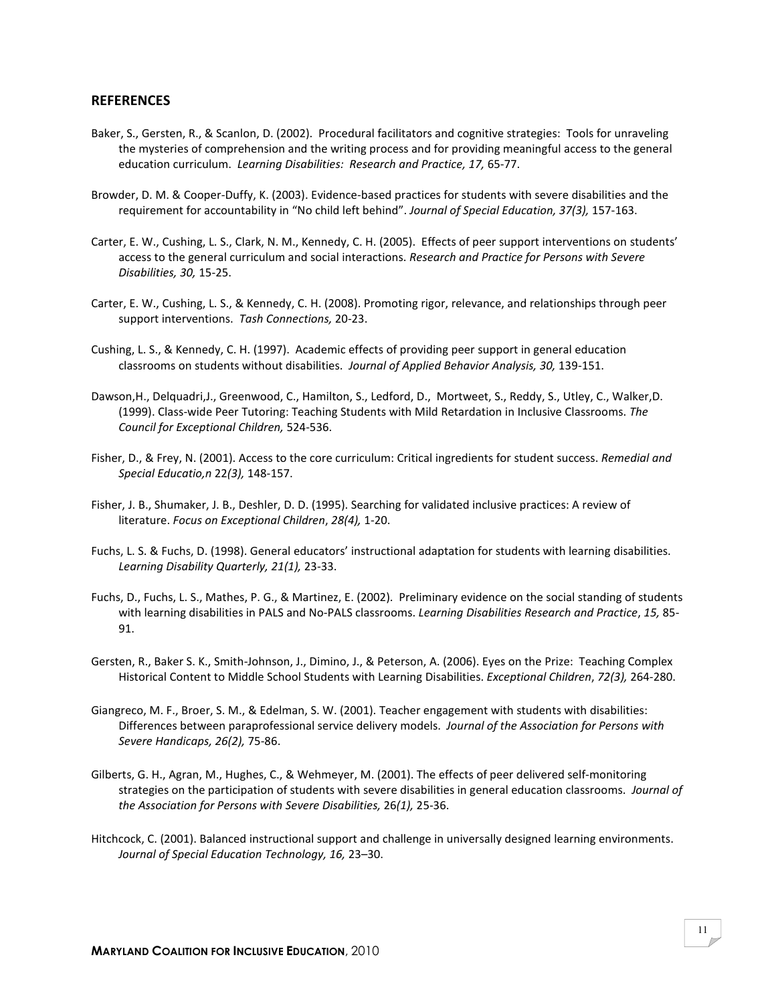#### **REFERENCES**

- Baker, S., Gersten, R., & Scanlon, D. (2002). Procedural facilitators and cognitive strategies: Tools for unraveling the mysteries of comprehension and the writing process and for providing meaningful access to the general education curriculum. Learning Disabilities: Research and Practice, 17, 65-77.
- Browder, D. M. & Cooper-Duffy, K. (2003). Evidence-based practices for students with severe disabilities and the requirement for accountability in "No child left behind". Journal of Special Education, 37(3), 157-163.
- Carter, E. W., Cushing, L. S., Clark, N. M., Kennedy, C. H. (2005). Effects of peer support interventions on students' access to the general curriculum and social interactions. Research and Practice for Persons with Severe Disabilities, 30, 15-25.
- Carter, E. W., Cushing, L. S., & Kennedy, C. H. (2008). Promoting rigor, relevance, and relationships through peer support interventions. Tash Connections, 20-23.
- Cushing, L. S., & Kennedy, C. H. (1997). Academic effects of providing peer support in general education classrooms on students without disabilities. Journal of Applied Behavior Analysis, 30, 139-151.
- Dawson,H., Delquadri,J., Greenwood, C., Hamilton, S., Ledford, D., Mortweet, S., Reddy, S., Utley, C., Walker,D. (1999). Class-wide Peer Tutoring: Teaching Students with Mild Retardation in Inclusive Classrooms. The Council for Exceptional Children, 524-536.
- Fisher, D., & Frey, N. (2001). Access to the core curriculum: Critical ingredients for student success. Remedial and Special Educatio,n 22(3), 148-157.
- Fisher, J. B., Shumaker, J. B., Deshler, D. D. (1995). Searching for validated inclusive practices: A review of literature. Focus on Exceptional Children, 28(4), 1-20.
- Fuchs, L. S. & Fuchs, D. (1998). General educators' instructional adaptation for students with learning disabilities. Learning Disability Quarterly, 21(1), 23-33.
- Fuchs, D., Fuchs, L. S., Mathes, P. G., & Martinez, E. (2002). Preliminary evidence on the social standing of students with learning disabilities in PALS and No-PALS classrooms. Learning Disabilities Research and Practice, 15, 85-91.
- Gersten, R., Baker S. K., Smith-Johnson, J., Dimino, J., & Peterson, A. (2006). Eyes on the Prize: Teaching Complex Historical Content to Middle School Students with Learning Disabilities. Exceptional Children, 72(3), 264-280.
- Giangreco, M. F., Broer, S. M., & Edelman, S. W. (2001). Teacher engagement with students with disabilities: Differences between paraprofessional service delivery models. Journal of the Association for Persons with Severe Handicaps, 26(2), 75-86.
- Gilberts, G. H., Agran, M., Hughes, C., & Wehmeyer, M. (2001). The effects of peer delivered self-monitoring strategies on the participation of students with severe disabilities in general education classrooms. Journal of the Association for Persons with Severe Disabilities, 26(1), 25-36.
- Hitchcock, C. (2001). Balanced instructional support and challenge in universally designed learning environments. Journal of Special Education Technology, 16, 23–30.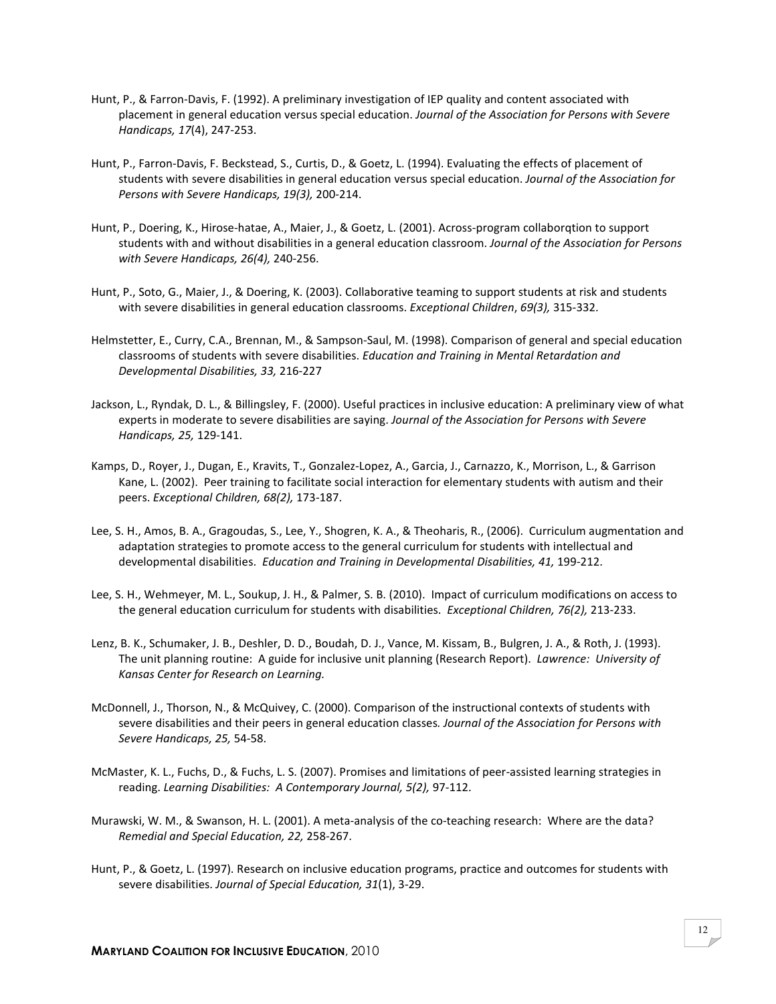- Hunt, P., & Farron-Davis, F. (1992). A preliminary investigation of IEP quality and content associated with placement in general education versus special education. Journal of the Association for Persons with Severe Handicaps, 17(4), 247-253.
- Hunt, P., Farron-Davis, F. Beckstead, S., Curtis, D., & Goetz, L. (1994). Evaluating the effects of placement of students with severe disabilities in general education versus special education. Journal of the Association for Persons with Severe Handicaps, 19(3), 200-214.
- Hunt, P., Doering, K., Hirose-hatae, A., Maier, J., & Goetz, L. (2001). Across-program collaborqtion to support students with and without disabilities in a general education classroom. Journal of the Association for Persons with Severe Handicaps, 26(4), 240-256.
- Hunt, P., Soto, G., Maier, J., & Doering, K. (2003). Collaborative teaming to support students at risk and students with severe disabilities in general education classrooms. Exceptional Children, 69(3), 315-332.
- Helmstetter, E., Curry, C.A., Brennan, M., & Sampson-Saul, M. (1998). Comparison of general and special education classrooms of students with severe disabilities. Education and Training in Mental Retardation and Developmental Disabilities, 33, 216-227
- Jackson, L., Ryndak, D. L., & Billingsley, F. (2000). Useful practices in inclusive education: A preliminary view of what experts in moderate to severe disabilities are saying. Journal of the Association for Persons with Severe Handicaps, 25, 129-141.
- Kamps, D., Royer, J., Dugan, E., Kravits, T., Gonzalez-Lopez, A., Garcia, J., Carnazzo, K., Morrison, L., & Garrison Kane, L. (2002). Peer training to facilitate social interaction for elementary students with autism and their peers. Exceptional Children, 68(2), 173-187.
- Lee, S. H., Amos, B. A., Gragoudas, S., Lee, Y., Shogren, K. A., & Theoharis, R., (2006). Curriculum augmentation and adaptation strategies to promote access to the general curriculum for students with intellectual and developmental disabilities. Education and Training in Developmental Disabilities, 41, 199-212.
- Lee, S. H., Wehmeyer, M. L., Soukup, J. H., & Palmer, S. B. (2010). Impact of curriculum modifications on access to the general education curriculum for students with disabilities. Exceptional Children, 76(2), 213-233.
- Lenz, B. K., Schumaker, J. B., Deshler, D. D., Boudah, D. J., Vance, M. Kissam, B., Bulgren, J. A., & Roth, J. (1993). The unit planning routine: A guide for inclusive unit planning (Research Report). Lawrence: University of Kansas Center for Research on Learning.
- McDonnell, J., Thorson, N., & McQuivey, C. (2000). Comparison of the instructional contexts of students with severe disabilities and their peers in general education classes. Journal of the Association for Persons with Severe Handicaps, 25, 54-58.
- McMaster, K. L., Fuchs, D., & Fuchs, L. S. (2007). Promises and limitations of peer-assisted learning strategies in reading. Learning Disabilities: A Contemporary Journal, 5(2), 97-112.
- Murawski, W. M., & Swanson, H. L. (2001). A meta-analysis of the co-teaching research: Where are the data? Remedial and Special Education, 22, 258-267.
- Hunt, P., & Goetz, L. (1997). Research on inclusive education programs, practice and outcomes for students with severe disabilities. Journal of Special Education, 31(1), 3-29.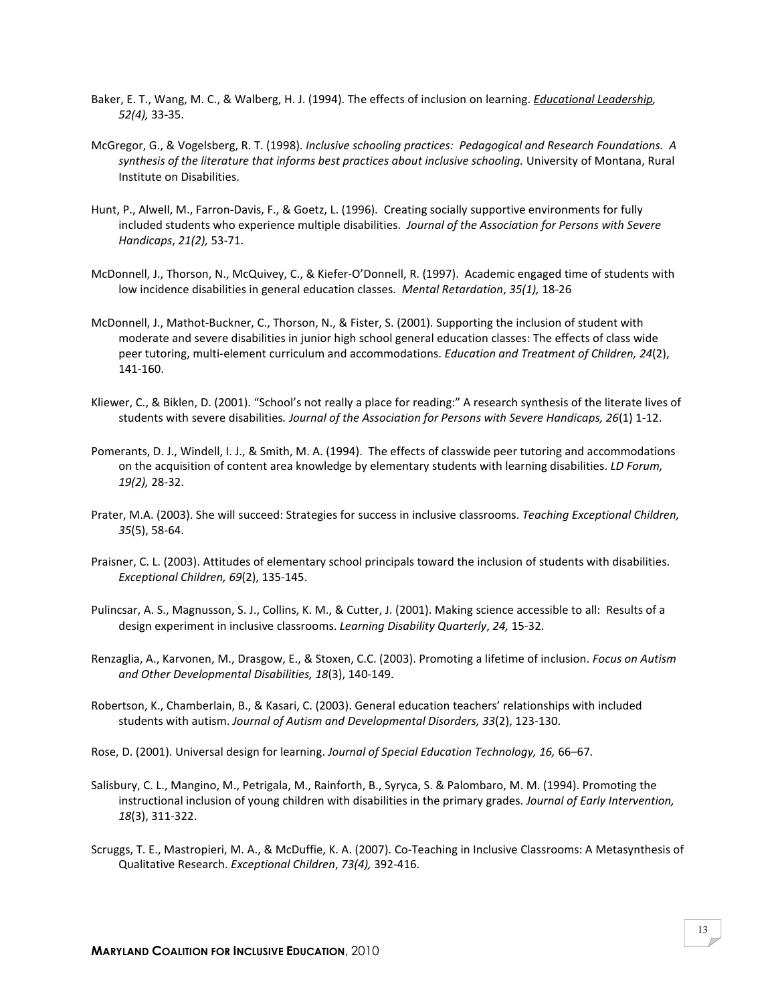- Baker, E. T., Wang, M. C., & Walberg, H. J. (1994). The effects of inclusion on learning. *Educational Leadership*, 52(4), 33-35.
- McGregor, G., & Vogelsberg, R. T. (1998). Inclusive schooling practices: Pedagogical and Research Foundations. A synthesis of the literature that informs best practices about inclusive schooling. University of Montana, Rural Institute on Disabilities.
- Hunt, P., Alwell, M., Farron-Davis, F., & Goetz, L. (1996). Creating socially supportive environments for fully included students who experience multiple disabilities. Journal of the Association for Persons with Severe Handicaps, 21(2), 53-71.
- McDonnell, J., Thorson, N., McQuivey, C., & Kiefer-O'Donnell, R. (1997). Academic engaged time of students with low incidence disabilities in general education classes. Mental Retardation, 35(1), 18-26
- McDonnell, J., Mathot-Buckner, C., Thorson, N., & Fister, S. (2001). Supporting the inclusion of student with moderate and severe disabilities in junior high school general education classes: The effects of class wide peer tutoring, multi-element curriculum and accommodations. Education and Treatment of Children, 24(2), 141-160.
- Kliewer, C., & Biklen, D. (2001). "School's not really a place for reading:" A research synthesis of the literate lives of students with severe disabilities. Journal of the Association for Persons with Severe Handicaps, 26(1) 1-12.
- Pomerants, D. J., Windell, I. J., & Smith, M. A. (1994). The effects of classwide peer tutoring and accommodations on the acquisition of content area knowledge by elementary students with learning disabilities. LD Forum, 19(2), 28-32.
- Prater, M.A. (2003). She will succeed: Strategies for success in inclusive classrooms. Teaching Exceptional Children, 35(5), 58-64.
- Praisner, C. L. (2003). Attitudes of elementary school principals toward the inclusion of students with disabilities. Exceptional Children, 69(2), 135-145.
- Pulincsar, A. S., Magnusson, S. J., Collins, K. M., & Cutter, J. (2001). Making science accessible to all: Results of a design experiment in inclusive classrooms. Learning Disability Quarterly, 24, 15-32.
- Renzaglia, A., Karvonen, M., Drasgow, E., & Stoxen, C.C. (2003). Promoting a lifetime of inclusion. Focus on Autism and Other Developmental Disabilities, 18(3), 140-149.
- Robertson, K., Chamberlain, B., & Kasari, C. (2003). General education teachers' relationships with included students with autism. Journal of Autism and Developmental Disorders, 33(2), 123-130.
- Rose, D. (2001). Universal design for learning. Journal of Special Education Technology, 16, 66–67.
- Salisbury, C. L., Mangino, M., Petrigala, M., Rainforth, B., Syryca, S. & Palombaro, M. M. (1994). Promoting the instructional inclusion of young children with disabilities in the primary grades. Journal of Early Intervention, 18(3), 311-322.
- Scruggs, T. E., Mastropieri, M. A., & McDuffie, K. A. (2007). Co-Teaching in Inclusive Classrooms: A Metasynthesis of Qualitative Research. Exceptional Children, 73(4), 392-416.